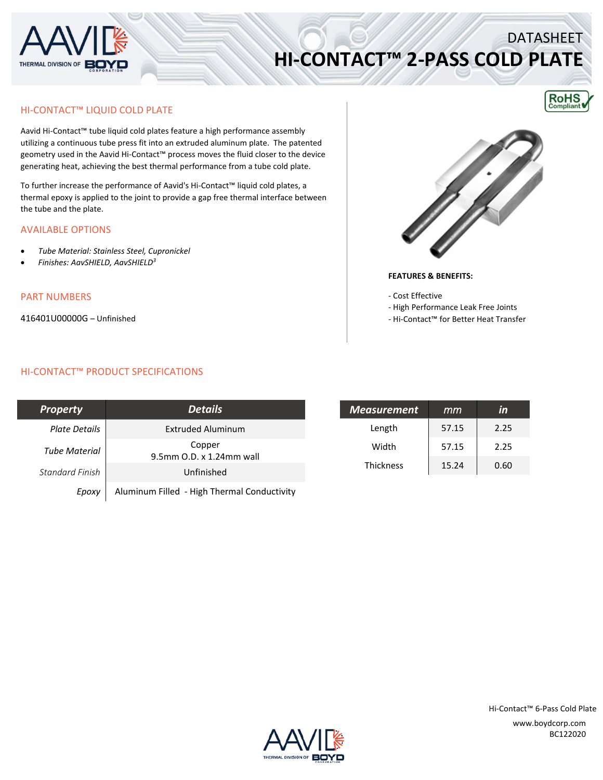

# **HI‐CONTACT™ 2‐PASS COLD PLATE**



Aavid Hi‐Contact™ tube liquid cold plates feature a high performance assembly utilizing a continuous tube press fit into an extruded aluminum plate. The patented geometry used in the Aavid Hi‐Contact™ process moves the fluid closer to the device generating heat, achieving the best thermal performance from a tube cold plate.

To further increase the performance of Aavid's Hi‐Contact™ liquid cold plates, a thermal epoxy is applied to the joint to provide a gap free thermal interface between the tube and the plate.

## AVAILABLE OPTIONS

- *Tube Material: Stainless Steel, Cupronickel*
- *Finishes: AavSHIELD, AavSHIELD3*

### PART NUMBERS

416401U00000G – Unfinished

# HI‐CONTACT™ PRODUCT SPECIFICATIONS

| <b>Property</b>        | <b>Details</b>                              |  |
|------------------------|---------------------------------------------|--|
| Plate Details          | <b>Extruded Aluminum</b>                    |  |
| <b>Tube Material</b>   | Copper<br>9.5mm O.D. x 1.24mm wall          |  |
| <b>Standard Finish</b> | Unfinished                                  |  |
| Epoxy                  | Aluminum Filled - High Thermal Conductivity |  |



### **FEATURES & BENEFITS:**

- ‐ Cost Effective
- ‐ High Performance Leak Free Joints
- ‐ Hi‐Contact™ for Better Heat Transfer

| <b>Measurement</b> | тm    | in   |
|--------------------|-------|------|
| Length             | 57.15 | 2.25 |
| Width              | 57.15 | 2.25 |
| <b>Thickness</b>   | 15.24 | 0.60 |





DATASHEET